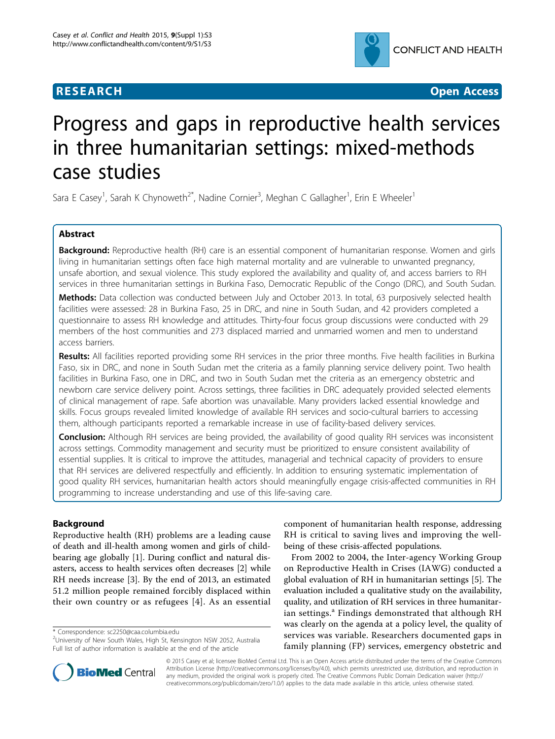

**RESEARCH CONSTRUCTION CONTROL** 

# Progress and gaps in reproductive health services in three humanitarian settings: mixed-methods case studies

Sara E Casey<sup>1</sup>, Sarah K Chynoweth<sup>2\*</sup>, Nadine Cornier<sup>3</sup>, Meghan C Gallagher<sup>1</sup>, Erin E Wheeler<sup>1</sup>

# Abstract

Background: Reproductive health (RH) care is an essential component of humanitarian response. Women and girls living in humanitarian settings often face high maternal mortality and are vulnerable to unwanted pregnancy, unsafe abortion, and sexual violence. This study explored the availability and quality of, and access barriers to RH services in three humanitarian settings in Burkina Faso, Democratic Republic of the Congo (DRC), and South Sudan.

Methods: Data collection was conducted between July and October 2013. In total, 63 purposively selected health facilities were assessed: 28 in Burkina Faso, 25 in DRC, and nine in South Sudan, and 42 providers completed a questionnaire to assess RH knowledge and attitudes. Thirty-four focus group discussions were conducted with 29 members of the host communities and 273 displaced married and unmarried women and men to understand access barriers.

Results: All facilities reported providing some RH services in the prior three months. Five health facilities in Burkina Faso, six in DRC, and none in South Sudan met the criteria as a family planning service delivery point. Two health facilities in Burkina Faso, one in DRC, and two in South Sudan met the criteria as an emergency obstetric and newborn care service delivery point. Across settings, three facilities in DRC adequately provided selected elements of clinical management of rape. Safe abortion was unavailable. Many providers lacked essential knowledge and skills. Focus groups revealed limited knowledge of available RH services and socio-cultural barriers to accessing them, although participants reported a remarkable increase in use of facility-based delivery services.

Conclusion: Although RH services are being provided, the availability of good quality RH services was inconsistent across settings. Commodity management and security must be prioritized to ensure consistent availability of essential supplies. It is critical to improve the attitudes, managerial and technical capacity of providers to ensure that RH services are delivered respectfully and efficiently. In addition to ensuring systematic implementation of good quality RH services, humanitarian health actors should meaningfully engage crisis-affected communities in RH programming to increase understanding and use of this life-saving care.

# Background

Reproductive health (RH) problems are a leading cause of death and ill-health among women and girls of childbearing age globally [\[1](#page-11-0)]. During conflict and natural disasters, access to health services often decreases [[2](#page-11-0)] while RH needs increase [[3\]](#page-11-0). By the end of 2013, an estimated 51.2 million people remained forcibly displaced within their own country or as refugees [\[4\]](#page-11-0). As an essential

\* Correspondence: [sc2250@caa.columbia.edu](mailto:sc2250@caa.columbia.edu)

component of humanitarian health response, addressing RH is critical to saving lives and improving the wellbeing of these crisis-affected populations.

From 2002 to 2004, the Inter-agency Working Group on Reproductive Health in Crises (IAWG) conducted a global evaluation of RH in humanitarian settings [\[5](#page-11-0)]. The evaluation included a qualitative study on the availability, quality, and utilization of RH services in three humanitarian settings.<sup>a</sup> Findings demonstrated that although RH was clearly on the agenda at a policy level, the quality of services was variable. Researchers documented gaps in family planning (FP) services, emergency obstetric and



© 2015 Casey et al; licensee BioMed Central Ltd. This is an Open Access article distributed under the terms of the Creative Commons Attribution License [\(http://creativecommons.org/licenses/by/4.0](http://creativecommons.org/licenses/by/4.0)), which permits unrestricted use, distribution, and reproduction in any medium, provided the original work is properly cited. The Creative Commons Public Domain Dedication waiver [\(http://](http://creativecommons.org/publicdomain/zero/1.0/) [creativecommons.org/publicdomain/zero/1.0/](http://creativecommons.org/publicdomain/zero/1.0/)) applies to the data made available in this article, unless otherwise stated.

<sup>&</sup>lt;sup>2</sup>University of New South Wales, High St, Kensington NSW 2052, Australia Full list of author information is available at the end of the article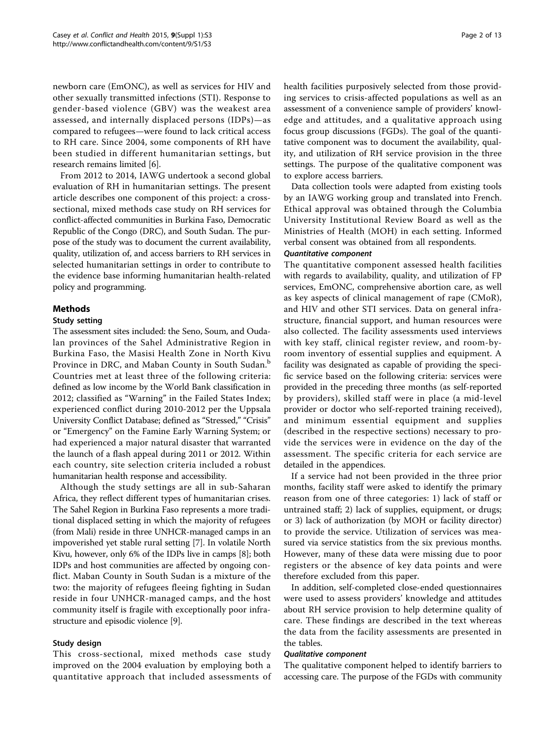newborn care (EmONC), as well as services for HIV and other sexually transmitted infections (STI). Response to gender-based violence (GBV) was the weakest area assessed, and internally displaced persons (IDPs)—as compared to refugees—were found to lack critical access to RH care. Since 2004, some components of RH have been studied in different humanitarian settings, but research remains limited [[6](#page-11-0)].

From 2012 to 2014, IAWG undertook a second global evaluation of RH in humanitarian settings. The present article describes one component of this project: a crosssectional, mixed methods case study on RH services for conflict-affected communities in Burkina Faso, Democratic Republic of the Congo (DRC), and South Sudan. The purpose of the study was to document the current availability, quality, utilization of, and access barriers to RH services in selected humanitarian settings in order to contribute to the evidence base informing humanitarian health-related policy and programming.

# Methods

# Study setting

The assessment sites included: the Seno, Soum, and Oudalan provinces of the Sahel Administrative Region in Burkina Faso, the Masisi Health Zone in North Kivu Province in DRC, and Maban County in South Sudan.<sup>b</sup> Countries met at least three of the following criteria: defined as low income by the World Bank classification in 2012; classified as "Warning" in the Failed States Index; experienced conflict during 2010-2012 per the Uppsala University Conflict Database; defined as "Stressed," "Crisis" or "Emergency" on the Famine Early Warning System; or had experienced a major natural disaster that warranted the launch of a flash appeal during 2011 or 2012. Within each country, site selection criteria included a robust humanitarian health response and accessibility.

Although the study settings are all in sub-Saharan Africa, they reflect different types of humanitarian crises. The Sahel Region in Burkina Faso represents a more traditional displaced setting in which the majority of refugees (from Mali) reside in three UNHCR-managed camps in an impoverished yet stable rural setting [[7\]](#page-11-0). In volatile North Kivu, however, only 6% of the IDPs live in camps [\[8](#page-11-0)]; both IDPs and host communities are affected by ongoing conflict. Maban County in South Sudan is a mixture of the two: the majority of refugees fleeing fighting in Sudan reside in four UNHCR-managed camps, and the host community itself is fragile with exceptionally poor infrastructure and episodic violence [[9\]](#page-11-0).

#### Study design

This cross-sectional, mixed methods case study improved on the 2004 evaluation by employing both a quantitative approach that included assessments of health facilities purposively selected from those providing services to crisis-affected populations as well as an assessment of a convenience sample of providers' knowledge and attitudes, and a qualitative approach using focus group discussions (FGDs). The goal of the quantitative component was to document the availability, quality, and utilization of RH service provision in the three settings. The purpose of the qualitative component was to explore access barriers.

Data collection tools were adapted from existing tools by an IAWG working group and translated into French. Ethical approval was obtained through the Columbia University Institutional Review Board as well as the Ministries of Health (MOH) in each setting. Informed verbal consent was obtained from all respondents.

#### Quantitative component

The quantitative component assessed health facilities with regards to availability, quality, and utilization of FP services, EmONC, comprehensive abortion care, as well as key aspects of clinical management of rape (CMoR), and HIV and other STI services. Data on general infrastructure, financial support, and human resources were also collected. The facility assessments used interviews with key staff, clinical register review, and room-byroom inventory of essential supplies and equipment. A facility was designated as capable of providing the specific service based on the following criteria: services were provided in the preceding three months (as self-reported by providers), skilled staff were in place (a mid-level provider or doctor who self-reported training received), and minimum essential equipment and supplies (described in the respective sections) necessary to provide the services were in evidence on the day of the assessment. The specific criteria for each service are detailed in the appendices.

If a service had not been provided in the three prior months, facility staff were asked to identify the primary reason from one of three categories: 1) lack of staff or untrained staff; 2) lack of supplies, equipment, or drugs; or 3) lack of authorization (by MOH or facility director) to provide the service. Utilization of services was measured via service statistics from the six previous months. However, many of these data were missing due to poor registers or the absence of key data points and were therefore excluded from this paper.

In addition, self-completed close-ended questionnaires were used to assess providers' knowledge and attitudes about RH service provision to help determine quality of care. These findings are described in the text whereas the data from the facility assessments are presented in the tables.

#### Qualitative component

The qualitative component helped to identify barriers to accessing care. The purpose of the FGDs with community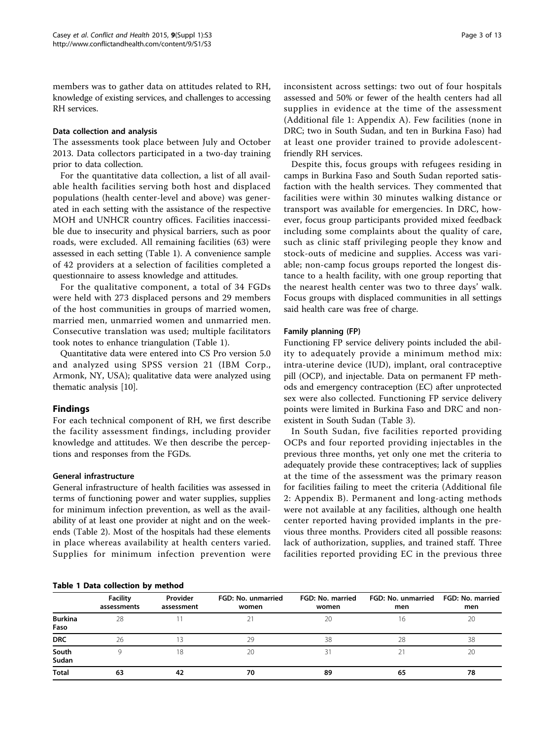members was to gather data on attitudes related to RH, knowledge of existing services, and challenges to accessing RH services.

# Data collection and analysis

The assessments took place between July and October 2013. Data collectors participated in a two-day training prior to data collection.

For the quantitative data collection, a list of all available health facilities serving both host and displaced populations (health center-level and above) was generated in each setting with the assistance of the respective MOH and UNHCR country offices. Facilities inaccessible due to insecurity and physical barriers, such as poor roads, were excluded. All remaining facilities (63) were assessed in each setting (Table 1). A convenience sample of 42 providers at a selection of facilities completed a questionnaire to assess knowledge and attitudes.

For the qualitative component, a total of 34 FGDs were held with 273 displaced persons and 29 members of the host communities in groups of married women, married men, unmarried women and unmarried men. Consecutive translation was used; multiple facilitators took notes to enhance triangulation (Table 1).

Quantitative data were entered into CS Pro version 5.0 and analyzed using SPSS version 21 (IBM Corp., Armonk, NY, USA); qualitative data were analyzed using thematic analysis [[10\]](#page-11-0).

# Findings

For each technical component of RH, we first describe the facility assessment findings, including provider knowledge and attitudes. We then describe the perceptions and responses from the FGDs.

# General infrastructure

General infrastructure of health facilities was assessed in terms of functioning power and water supplies, supplies for minimum infection prevention, as well as the availability of at least one provider at night and on the weekends (Table [2\)](#page-3-0). Most of the hospitals had these elements in place whereas availability at health centers varied. Supplies for minimum infection prevention were inconsistent across settings: two out of four hospitals assessed and 50% or fewer of the health centers had all supplies in evidence at the time of the assessment (Additional file [1:](#page-10-0) Appendix A). Few facilities (none in DRC; two in South Sudan, and ten in Burkina Faso) had at least one provider trained to provide adolescentfriendly RH services.

Despite this, focus groups with refugees residing in camps in Burkina Faso and South Sudan reported satisfaction with the health services. They commented that facilities were within 30 minutes walking distance or transport was available for emergencies. In DRC, however, focus group participants provided mixed feedback including some complaints about the quality of care, such as clinic staff privileging people they know and stock-outs of medicine and supplies. Access was variable; non-camp focus groups reported the longest distance to a health facility, with one group reporting that the nearest health center was two to three days' walk. Focus groups with displaced communities in all settings said health care was free of charge.

# Family planning (FP)

Functioning FP service delivery points included the ability to adequately provide a minimum method mix: intra-uterine device (IUD), implant, oral contraceptive pill (OCP), and injectable. Data on permanent FP methods and emergency contraception (EC) after unprotected sex were also collected. Functioning FP service delivery points were limited in Burkina Faso and DRC and nonexistent in South Sudan (Table [3](#page-3-0)).

In South Sudan, five facilities reported providing OCPs and four reported providing injectables in the previous three months, yet only one met the criteria to adequately provide these contraceptives; lack of supplies at the time of the assessment was the primary reason for facilities failing to meet the criteria (Additional file [2:](#page-10-0) Appendix B). Permanent and long-acting methods were not available at any facilities, although one health center reported having provided implants in the previous three months. Providers cited all possible reasons: lack of authorization, supplies, and trained staff. Three facilities reported providing EC in the previous three

|  |  | Table 1 Data collection by method |  |  |
|--|--|-----------------------------------|--|--|
|--|--|-----------------------------------|--|--|

|                        | <b>Facility</b><br>assessments | Provider<br>assessment | FGD: No. unmarried<br>women | FGD: No. married<br>women | FGD: No. unmarried<br>men | FGD: No. married<br>men |
|------------------------|--------------------------------|------------------------|-----------------------------|---------------------------|---------------------------|-------------------------|
| <b>Burkina</b><br>Faso | 28                             |                        |                             | 20                        | 16                        | 20                      |
| <b>DRC</b>             | 26                             |                        | 29                          | 38                        | 28                        | 38                      |
| South<br>Sudan         |                                | 18                     | 20                          |                           |                           | 20                      |
| <b>Total</b>           | 63                             | 42                     | 70                          | 89                        | 65                        | 78                      |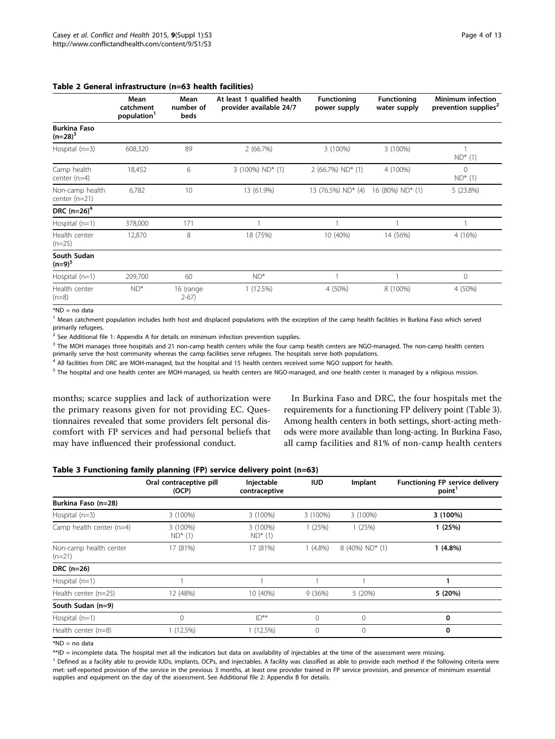|                                    | Mean<br>catchment<br>population <sup>1</sup> | Mean<br>number of<br>beds | At least 1 qualified health<br>provider available 24/7 | <b>Functioning</b><br>power supply | <b>Functioning</b><br>water supply | <b>Minimum infection</b><br>prevention supplies <sup>2</sup> |
|------------------------------------|----------------------------------------------|---------------------------|--------------------------------------------------------|------------------------------------|------------------------------------|--------------------------------------------------------------|
| <b>Burkina Faso</b><br>$(n=28)^3$  |                                              |                           |                                                        |                                    |                                    |                                                              |
| Hospital $(n=3)$                   | 608,320                                      | 89                        | 2(66.7%)                                               | 3 (100%)                           | 3 (100%)                           | $ND^*$ (1)                                                   |
| Camp health<br>center $(n=4)$      | 18,452                                       | 6                         | 3 (100%) ND* (1)                                       | $2(66.7%) ND* (1)$                 | 4 (100%)                           | $\Omega$<br>$ND^*$ (1)                                       |
| Non-camp health<br>center $(n=21)$ | 6,782                                        | 10                        | 13 (61.9%)                                             | 13 (76.5%) ND* (4)                 | 16 (80%) $ND^*$ (1)                | 5 (23.8%)                                                    |
| DRC $(n=26)^4$                     |                                              |                           |                                                        |                                    |                                    |                                                              |
| Hospital $(n=1)$                   | 378,000                                      | 171                       |                                                        |                                    |                                    |                                                              |
| Health center<br>$(n=25)$          | 12,870                                       | 8                         | 18 (75%)                                               | 10 (40%)                           | 14 (56%)                           | 4 (16%)                                                      |
| South Sudan<br>$(n=9)^5$           |                                              |                           |                                                        |                                    |                                    |                                                              |
| Hospital $(n=1)$                   | 209,700                                      | 60                        | $ND^*$                                                 |                                    |                                    | 0                                                            |
| Health center<br>$(n=8)$           | $ND^*$                                       | 16 (range<br>$2-67$       | 1(12.5%)                                               | 4 (50%)                            | 8 (100%)                           | 4 (50%)                                                      |
| $X \cup Y$ $X \cup Y$              |                                              |                           |                                                        |                                    |                                    |                                                              |

# <span id="page-3-0"></span>Table 2 General infrastructure (n=63 health facilities)

\*ND = no data

<sup>1</sup> Mean catchment population includes both host and displaced populations with the exception of the camp health facilities in Burkina Faso which served primarily refugees.

<sup>2</sup> See Additional file [1:](#page-10-0) Appendix A for details on minimum infection prevention supplies.

<sup>3</sup> The MOH manages three hospitals and 21 non-camp health centers while the four camp health centers are NGO-managed. The non-camp health centers primarily serve the host community whereas the camp facilities serve refugees. The hospitals serve both populations.

<sup>4</sup> All facilities from DRC are MOH-managed, but the hospital and 15 health centers received some NGO support for health.

<sup>5</sup> The hospital and one health center are MOH-managed, six health centers are NGO-managed, and one health center is managed by a religious mission.

months; scarce supplies and lack of authorization were the primary reasons given for not providing EC. Questionnaires revealed that some providers felt personal discomfort with FP services and had personal beliefs that may have influenced their professional conduct.

In Burkina Faso and DRC, the four hospitals met the requirements for a functioning FP delivery point (Table 3). Among health centers in both settings, short-acting methods were more available than long-acting. In Burkina Faso, all camp facilities and 81% of non-camp health centers

#### Table 3 Functioning family planning (FP) service delivery point (n=63)

|                                    | Oral contraceptive pill<br>(OCP) | Injectable<br>contraceptive | <b>IUD</b> | Implant         | <b>Functioning FP service delivery</b><br>point <sup>'</sup> |
|------------------------------------|----------------------------------|-----------------------------|------------|-----------------|--------------------------------------------------------------|
| Burkina Faso (n=28)                |                                  |                             |            |                 |                                                              |
| Hospital $(n=3)$                   | 3 (100%)                         | 3 (100%)                    | 3 (100%)   | 3 (100%)        | $3(100\%)$                                                   |
| Camp health center (n=4)           | 3 (100%)<br>$ND^*$ (1)           | 3 (100%)<br>$ND^*$ (1)      | (25%)      | 1(25%)          | 1(25%)                                                       |
| Non-camp health center<br>$(n=21)$ | 17 (81%)                         | 17 (81%)                    | $(4.8\%)$  | 8 (40%) ND* (1) | $1(4.8\%)$                                                   |
| DRC (n=26)                         |                                  |                             |            |                 |                                                              |
| Hospital $(n=1)$                   |                                  |                             |            |                 |                                                              |
| Health center (n=25)               | 12 (48%)                         | 10 (40%)                    | 9(36%)     | 5 (20%)         | 5 (20%)                                                      |
| South Sudan (n=9)                  |                                  |                             |            |                 |                                                              |
| Hospital $(n=1)$                   | $\Omega$                         | $ID**$                      | 0          | $\Omega$        | 0                                                            |
| Health center (n=8)                | 1 (12.5%)                        | 1(12.5%)                    | 0          | $\Omega$        | 0                                                            |
|                                    |                                  |                             |            |                 |                                                              |

 $*ND = no data$ 

\*\*ID = incomplete data. The hospital met all the indicators but data on availability of injectables at the time of the assessment were missing.

<sup>1</sup> Defined as a facility able to provide IUDs, implants, OCPs, and injectables. A facility was classified as able to provide each method if the following criteria were met: self-reported provision of the service in the previous 3 months, at least one provider trained in FP service provision, and presence of minimum essential supplies and equipment on the day of the assessment. See Additional file [2:](#page-10-0) Appendix B for details.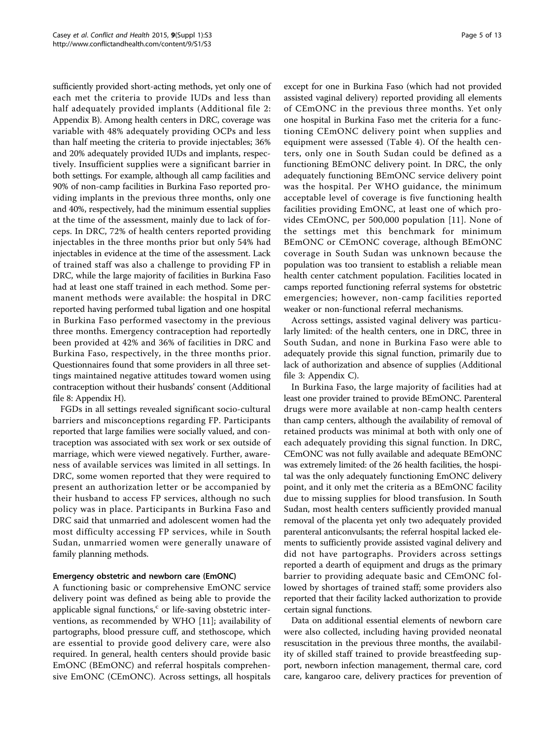sufficiently provided short-acting methods, yet only one of each met the criteria to provide IUDs and less than half adequately provided implants (Additional file [2](#page-10-0): Appendix B). Among health centers in DRC, coverage was variable with 48% adequately providing OCPs and less than half meeting the criteria to provide injectables; 36% and 20% adequately provided IUDs and implants, respectively. Insufficient supplies were a significant barrier in both settings. For example, although all camp facilities and 90% of non-camp facilities in Burkina Faso reported providing implants in the previous three months, only one and 40%, respectively, had the minimum essential supplies at the time of the assessment, mainly due to lack of forceps. In DRC, 72% of health centers reported providing injectables in the three months prior but only 54% had injectables in evidence at the time of the assessment. Lack of trained staff was also a challenge to providing FP in DRC, while the large majority of facilities in Burkina Faso had at least one staff trained in each method. Some permanent methods were available: the hospital in DRC reported having performed tubal ligation and one hospital in Burkina Faso performed vasectomy in the previous three months. Emergency contraception had reportedly been provided at 42% and 36% of facilities in DRC and Burkina Faso, respectively, in the three months prior. Questionnaires found that some providers in all three settings maintained negative attitudes toward women using contraception without their husbands' consent (Additional file [8](#page-10-0): Appendix H).

FGDs in all settings revealed significant socio-cultural barriers and misconceptions regarding FP. Participants reported that large families were socially valued, and contraception was associated with sex work or sex outside of marriage, which were viewed negatively. Further, awareness of available services was limited in all settings. In DRC, some women reported that they were required to present an authorization letter or be accompanied by their husband to access FP services, although no such policy was in place. Participants in Burkina Faso and DRC said that unmarried and adolescent women had the most difficulty accessing FP services, while in South Sudan, unmarried women were generally unaware of family planning methods.

# Emergency obstetric and newborn care (EmONC)

A functioning basic or comprehensive EmONC service delivery point was defined as being able to provide the applicable signal functions, $c$  or life-saving obstetric interventions, as recommended by WHO [\[11](#page-11-0)]; availability of partographs, blood pressure cuff, and stethoscope, which are essential to provide good delivery care, were also required. In general, health centers should provide basic EmONC (BEmONC) and referral hospitals comprehensive EmONC (CEmONC). Across settings, all hospitals except for one in Burkina Faso (which had not provided assisted vaginal delivery) reported providing all elements of CEmONC in the previous three months. Yet only one hospital in Burkina Faso met the criteria for a functioning CEmONC delivery point when supplies and equipment were assessed (Table [4\)](#page-5-0). Of the health centers, only one in South Sudan could be defined as a functioning BEmONC delivery point. In DRC, the only adequately functioning BEmONC service delivery point was the hospital. Per WHO guidance, the minimum acceptable level of coverage is five functioning health facilities providing EmONC, at least one of which provides CEmONC, per 500,000 population [[11\]](#page-11-0). None of the settings met this benchmark for minimum BEmONC or CEmONC coverage, although BEmONC coverage in South Sudan was unknown because the population was too transient to establish a reliable mean health center catchment population. Facilities located in camps reported functioning referral systems for obstetric emergencies; however, non-camp facilities reported weaker or non-functional referral mechanisms.

Across settings, assisted vaginal delivery was particularly limited: of the health centers, one in DRC, three in South Sudan, and none in Burkina Faso were able to adequately provide this signal function, primarily due to lack of authorization and absence of supplies (Additional file [3](#page-10-0): Appendix C).

In Burkina Faso, the large majority of facilities had at least one provider trained to provide BEmONC. Parenteral drugs were more available at non-camp health centers than camp centers, although the availability of removal of retained products was minimal at both with only one of each adequately providing this signal function. In DRC, CEmONC was not fully available and adequate BEmONC was extremely limited: of the 26 health facilities, the hospital was the only adequately functioning EmONC delivery point, and it only met the criteria as a BEmONC facility due to missing supplies for blood transfusion. In South Sudan, most health centers sufficiently provided manual removal of the placenta yet only two adequately provided parenteral anticonvulsants; the referral hospital lacked elements to sufficiently provide assisted vaginal delivery and did not have partographs. Providers across settings reported a dearth of equipment and drugs as the primary barrier to providing adequate basic and CEmONC followed by shortages of trained staff; some providers also reported that their facility lacked authorization to provide certain signal functions.

Data on additional essential elements of newborn care were also collected, including having provided neonatal resuscitation in the previous three months, the availability of skilled staff trained to provide breastfeeding support, newborn infection management, thermal care, cord care, kangaroo care, delivery practices for prevention of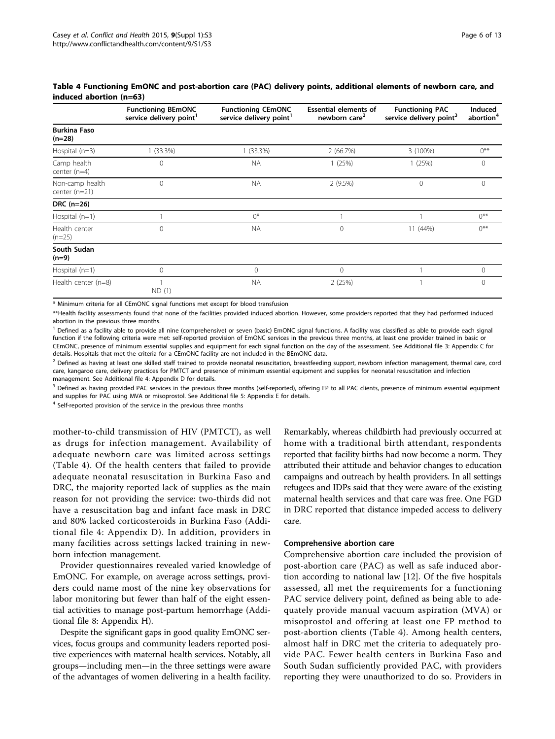|                                    | <b>Functioning BEmONC</b><br>service delivery point <sup>1</sup> | <b>Functioning CEmONC</b><br>service delivery point <sup>1</sup> | <b>Essential elements of</b><br>newborn care <sup>2</sup> | <b>Functioning PAC</b><br>service delivery point <sup>3</sup> | Induced<br>abortion <sup>4</sup> |
|------------------------------------|------------------------------------------------------------------|------------------------------------------------------------------|-----------------------------------------------------------|---------------------------------------------------------------|----------------------------------|
| <b>Burkina Faso</b><br>$(n=28)$    |                                                                  |                                                                  |                                                           |                                                               |                                  |
| Hospital $(n=3)$                   | $1(33.3\%)$                                                      | $(33.3\%)$                                                       | 2(66.7%)                                                  | 3 (100%)                                                      | $()^{**}$                        |
| Camp health<br>center $(n=4)$      | 0                                                                | <b>NA</b>                                                        | 1(25%)                                                    | 1(25%)                                                        | $\circ$                          |
| Non-camp health<br>center $(n=21)$ | $\mathbf{0}$                                                     | <b>NA</b>                                                        | 2(9.5%)                                                   | $\circ$                                                       | $\mathbf{0}$                     |
| DRC (n=26)                         |                                                                  |                                                                  |                                                           |                                                               |                                  |
| Hospital $(n=1)$                   |                                                                  | $0^*$                                                            |                                                           |                                                               | $()^{\ast\ast}$                  |
| Health center<br>$(n=25)$          | $\mathbf{0}$                                                     | <b>NA</b>                                                        | 0                                                         | 11 (44%)                                                      | $0***$                           |
| South Sudan<br>$(n=9)$             |                                                                  |                                                                  |                                                           |                                                               |                                  |
| Hospital $(n=1)$                   | $\mathbf{0}$                                                     | 0                                                                | 0                                                         |                                                               | $\Omega$                         |
| Health center (n=8)                | ND(1)                                                            | <b>NA</b>                                                        | 2(25%)                                                    |                                                               | $\Omega$                         |

#### <span id="page-5-0"></span>Table 4 Functioning EmONC and post-abortion care (PAC) delivery points, additional elements of newborn care, and induced abortion (n=63)

\* Minimum criteria for all CEmONC signal functions met except for blood transfusion

\*\*Health facility assessments found that none of the facilities provided induced abortion. However, some providers reported that they had performed induced abortion in the previous three months.

Defined as a facility able to provide all nine (comprehensive) or seven (basic) EmONC signal functions. A facility was classified as able to provide each signal function if the following criteria were met: self-reported provision of EmONC services in the previous three months, at least one provider trained in basic or CEmONC, presence of minimum essential supplies and equipment for each signal function on the day of the assessment. See Additional file [3](#page-10-0): Appendix C for details. Hospitals that met the criteria for a CEmONC facility are not included in the BEmONC data.

<sup>2</sup> Defined as having at least one skilled staff trained to provide neonatal resuscitation, breastfeeding support, newborn infection management, thermal care, cord care, kangaroo care, delivery practices for PMTCT and presence of minimum essential equipment and supplies for neonatal resuscitation and infection management. See Additional file [4:](#page-10-0) Appendix D for details.

<sup>3</sup> Defined as having provided PAC services in the previous three months (self-reported), offering FP to all PAC clients, presence of minimum essential equipment and supplies for PAC using MVA or misoprostol. See Additional file [5:](#page-10-0) Appendix E for details.

<sup>4</sup> Self-reported provision of the service in the previous three months

mother-to-child transmission of HIV (PMTCT), as well as drugs for infection management. Availability of adequate newborn care was limited across settings (Table 4). Of the health centers that failed to provide adequate neonatal resuscitation in Burkina Faso and DRC, the majority reported lack of supplies as the main reason for not providing the service: two-thirds did not have a resuscitation bag and infant face mask in DRC and 80% lacked corticosteroids in Burkina Faso (Additional file [4](#page-10-0): Appendix D). In addition, providers in many facilities across settings lacked training in newborn infection management.

Provider questionnaires revealed varied knowledge of EmONC. For example, on average across settings, providers could name most of the nine key observations for labor monitoring but fewer than half of the eight essential activities to manage post-partum hemorrhage (Additional file [8](#page-10-0): Appendix H).

Despite the significant gaps in good quality EmONC services, focus groups and community leaders reported positive experiences with maternal health services. Notably, all groups—including men—in the three settings were aware of the advantages of women delivering in a health facility.

Remarkably, whereas childbirth had previously occurred at home with a traditional birth attendant, respondents reported that facility births had now become a norm. They attributed their attitude and behavior changes to education campaigns and outreach by health providers. In all settings refugees and IDPs said that they were aware of the existing maternal health services and that care was free. One FGD in DRC reported that distance impeded access to delivery care.

#### Comprehensive abortion care

Comprehensive abortion care included the provision of post-abortion care (PAC) as well as safe induced abortion according to national law [\[12\]](#page-11-0). Of the five hospitals assessed, all met the requirements for a functioning PAC service delivery point, defined as being able to adequately provide manual vacuum aspiration (MVA) or misoprostol and offering at least one FP method to post-abortion clients (Table 4). Among health centers, almost half in DRC met the criteria to adequately provide PAC. Fewer health centers in Burkina Faso and South Sudan sufficiently provided PAC, with providers reporting they were unauthorized to do so. Providers in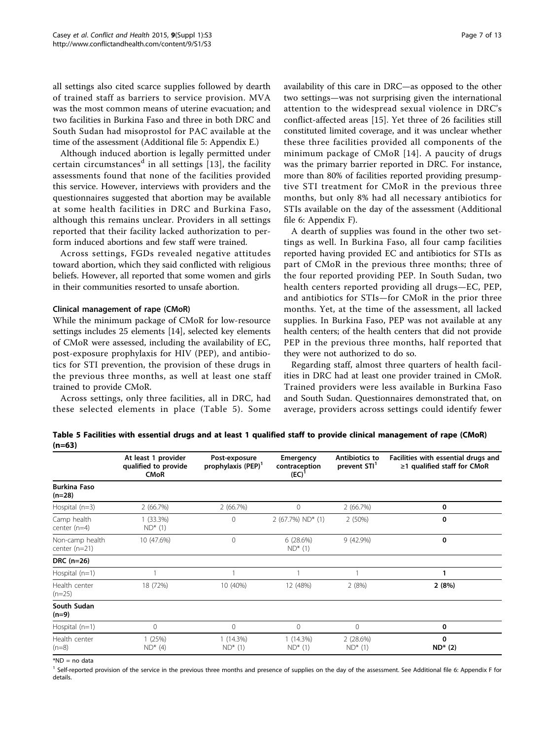all settings also cited scarce supplies followed by dearth of trained staff as barriers to service provision. MVA was the most common means of uterine evacuation; and two facilities in Burkina Faso and three in both DRC and South Sudan had misoprostol for PAC available at the time of the assessment (Additional file [5](#page-10-0): Appendix E.)

Although induced abortion is legally permitted under certain circumstances<sup>d</sup> in all settings [[13](#page-11-0)], the facility assessments found that none of the facilities provided this service. However, interviews with providers and the questionnaires suggested that abortion may be available at some health facilities in DRC and Burkina Faso, although this remains unclear. Providers in all settings reported that their facility lacked authorization to perform induced abortions and few staff were trained.

Across settings, FGDs revealed negative attitudes toward abortion, which they said conflicted with religious beliefs. However, all reported that some women and girls in their communities resorted to unsafe abortion.

# Clinical management of rape (CMoR)

While the minimum package of CMoR for low-resource settings includes 25 elements [\[14](#page-11-0)], selected key elements of CMoR were assessed, including the availability of EC, post-exposure prophylaxis for HIV (PEP), and antibiotics for STI prevention, the provision of these drugs in the previous three months, as well at least one staff trained to provide CMoR.

Across settings, only three facilities, all in DRC, had these selected elements in place (Table 5). Some availability of this care in DRC—as opposed to the other two settings—was not surprising given the international attention to the widespread sexual violence in DRC's conflict-affected areas [[15\]](#page-11-0). Yet three of 26 facilities still constituted limited coverage, and it was unclear whether these three facilities provided all components of the minimum package of CMoR [[14\]](#page-11-0). A paucity of drugs was the primary barrier reported in DRC. For instance, more than 80% of facilities reported providing presumptive STI treatment for CMoR in the previous three months, but only 8% had all necessary antibiotics for STIs available on the day of the assessment (Additional file [6](#page-10-0): Appendix F).

A dearth of supplies was found in the other two settings as well. In Burkina Faso, all four camp facilities reported having provided EC and antibiotics for STIs as part of CMoR in the previous three months; three of the four reported providing PEP. In South Sudan, two health centers reported providing all drugs—EC, PEP, and antibiotics for STIs—for CMoR in the prior three months. Yet, at the time of the assessment, all lacked supplies. In Burkina Faso, PEP was not available at any health centers; of the health centers that did not provide PEP in the previous three months, half reported that they were not authorized to do so.

Regarding staff, almost three quarters of health facilities in DRC had at least one provider trained in CMoR. Trained providers were less available in Burkina Faso and South Sudan. Questionnaires demonstrated that, on average, providers across settings could identify fewer

Table 5 Facilities with essential drugs and at least 1 qualified staff to provide clinical management of rape (CMoR) (n=63)

|                                    | At least 1 provider<br>qualified to provide<br><b>CMoR</b> | Post-exposure<br>prophylaxis (PEP) <sup>1</sup> | Emergency<br>contraception<br>(EC) | Antibiotics to<br>prevent STI <sup>1</sup> | Facilities with essential drugs and<br>$\geq$ 1 qualified staff for CMoR |
|------------------------------------|------------------------------------------------------------|-------------------------------------------------|------------------------------------|--------------------------------------------|--------------------------------------------------------------------------|
| <b>Burkina Faso</b><br>$(n=28)$    |                                                            |                                                 |                                    |                                            |                                                                          |
| Hospital $(n=3)$                   | 2(66.7%)                                                   | 2(66.7%)                                        | 0                                  | 2(66.7%)                                   | 0                                                                        |
| Camp health<br>center $(n=4)$      | $1(33.3\%)$<br>$ND^*$ (1)                                  | 0                                               | 2 (67.7%) ND* (1)                  | 2(50%)                                     | 0                                                                        |
| Non-camp health<br>center $(n=21)$ | 10 (47.6%)                                                 | 0                                               | 6(28.6%)<br>$ND^*$ (1)             | 9 (42.9%)                                  | 0                                                                        |
| DRC (n=26)                         |                                                            |                                                 |                                    |                                            |                                                                          |
| Hospital $(n=1)$                   |                                                            |                                                 |                                    |                                            |                                                                          |
| Health center<br>$(n=25)$          | 18 (72%)                                                   | 10 (40%)                                        | 12 (48%)                           | 2(8%)                                      | 2(8%)                                                                    |
| South Sudan<br>$(n=9)$             |                                                            |                                                 |                                    |                                            |                                                                          |
| Hospital $(n=1)$                   | $\Omega$                                                   | 0                                               | $\Omega$                           | $\Omega$                                   | 0                                                                        |
| Health center<br>$(n=8)$           | (25%)<br>$ND^*$ (4)                                        | 1(14.3%)<br>$ND^*$ (1)                          | 1(14.3%)<br>$ND^*$ (1)             | 2(28.6%)<br>$ND^*$ (1)                     | 0<br>$ND^*$ (2)                                                          |
| $X \cup Y$ $X \cup Y$              |                                                            |                                                 |                                    |                                            |                                                                          |

\*ND = no data

<sup>1</sup> Self-reported provision of the service in the previous three months and presence of supplies on the day of the assessment. See Additional file [6:](#page-10-0) Appendix F for details.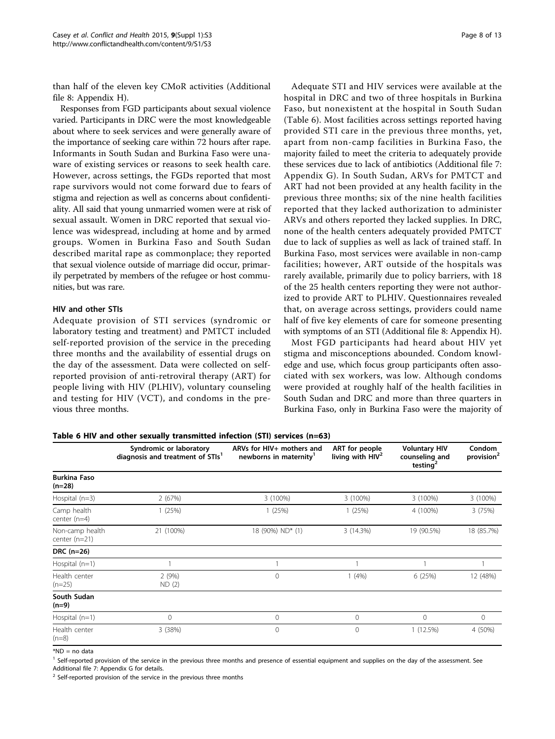than half of the eleven key CMoR activities (Additional file [8](#page-10-0): Appendix H).

Responses from FGD participants about sexual violence varied. Participants in DRC were the most knowledgeable about where to seek services and were generally aware of the importance of seeking care within 72 hours after rape. Informants in South Sudan and Burkina Faso were unaware of existing services or reasons to seek health care. However, across settings, the FGDs reported that most rape survivors would not come forward due to fears of stigma and rejection as well as concerns about confidentiality. All said that young unmarried women were at risk of sexual assault. Women in DRC reported that sexual violence was widespread, including at home and by armed groups. Women in Burkina Faso and South Sudan described marital rape as commonplace; they reported that sexual violence outside of marriage did occur, primarily perpetrated by members of the refugee or host communities, but was rare.

### HIV and other STIs

Adequate provision of STI services (syndromic or laboratory testing and treatment) and PMTCT included self-reported provision of the service in the preceding three months and the availability of essential drugs on the day of the assessment. Data were collected on selfreported provision of anti-retroviral therapy (ART) for people living with HIV (PLHIV), voluntary counseling and testing for HIV (VCT), and condoms in the previous three months.

Adequate STI and HIV services were available at the hospital in DRC and two of three hospitals in Burkina Faso, but nonexistent at the hospital in South Sudan (Table 6). Most facilities across settings reported having provided STI care in the previous three months, yet, apart from non-camp facilities in Burkina Faso, the majority failed to meet the criteria to adequately provide these services due to lack of antibiotics (Additional file [7](#page-10-0): Appendix G). In South Sudan, ARVs for PMTCT and ART had not been provided at any health facility in the previous three months; six of the nine health facilities reported that they lacked authorization to administer ARVs and others reported they lacked supplies. In DRC, none of the health centers adequately provided PMTCT due to lack of supplies as well as lack of trained staff. In Burkina Faso, most services were available in non-camp facilities; however, ART outside of the hospitals was rarely available, primarily due to policy barriers, with 18 of the 25 health centers reporting they were not authorized to provide ART to PLHIV. Questionnaires revealed that, on average across settings, providers could name half of five key elements of care for someone presenting with symptoms of an STI (Additional file [8:](#page-10-0) Appendix H).

Most FGD participants had heard about HIV yet stigma and misconceptions abounded. Condom knowledge and use, which focus group participants often associated with sex workers, was low. Although condoms were provided at roughly half of the health facilities in South Sudan and DRC and more than three quarters in Burkina Faso, only in Burkina Faso were the majority of

| Table 6 HIV and other sexually transmitted infection (STI) services (n=63) |  |  |
|----------------------------------------------------------------------------|--|--|
|----------------------------------------------------------------------------|--|--|

|                                    | Syndromic or laboratory<br>diagnosis and treatment of STIs <sup>1</sup> | ARVs for HIV+ mothers and<br>newborns in maternity <sup>1</sup> | ART for people<br>living with HIV <sup>2</sup> | <b>Voluntary HIV</b><br>counseling and<br>testing <sup>2</sup> | Condom<br>provision <sup>2</sup> |
|------------------------------------|-------------------------------------------------------------------------|-----------------------------------------------------------------|------------------------------------------------|----------------------------------------------------------------|----------------------------------|
| <b>Burkina Faso</b><br>$(n=28)$    |                                                                         |                                                                 |                                                |                                                                |                                  |
| Hospital $(n=3)$                   | 2(67%)                                                                  | 3 (100%)                                                        | 3 (100%)                                       | 3 (100%)                                                       | 3 (100%)                         |
| Camp health<br>center $(n=4)$      | 1(25%)                                                                  | 1(25%)                                                          | 1(25%)                                         | 4 (100%)                                                       | 3(75%)                           |
| Non-camp health<br>center $(n=21)$ | 21 (100%)                                                               | 18 (90%) ND* (1)                                                | 3(14.3%)                                       | 19 (90.5%)                                                     | 18 (85.7%)                       |
| DRC (n=26)                         |                                                                         |                                                                 |                                                |                                                                |                                  |
| Hospital $(n=1)$                   |                                                                         |                                                                 |                                                |                                                                |                                  |
| Health center<br>$(n=25)$          | 2(9%)<br>ND (2)                                                         | $\mathbf{0}$                                                    | 1(4%)                                          | 6(25%)                                                         | 12 (48%)                         |
| South Sudan<br>$(n=9)$             |                                                                         |                                                                 |                                                |                                                                |                                  |
| Hospital $(n=1)$                   | 0                                                                       | 0                                                               | $\mathbf{0}$                                   | $\mathbf{0}$                                                   | 0                                |
| Health center<br>$(n=8)$           | 3(38%)                                                                  | 0                                                               | 0                                              | 1(12.5%)                                                       | 4 (50%)                          |

 $*ND = no data$ 

<sup>1</sup> Self-reported provision of the service in the previous three months and presence of essential equipment and supplies on the day of the assessment. See Additional file [7:](#page-10-0) Appendix G for details.

 $2$  Self-reported provision of the service in the previous three months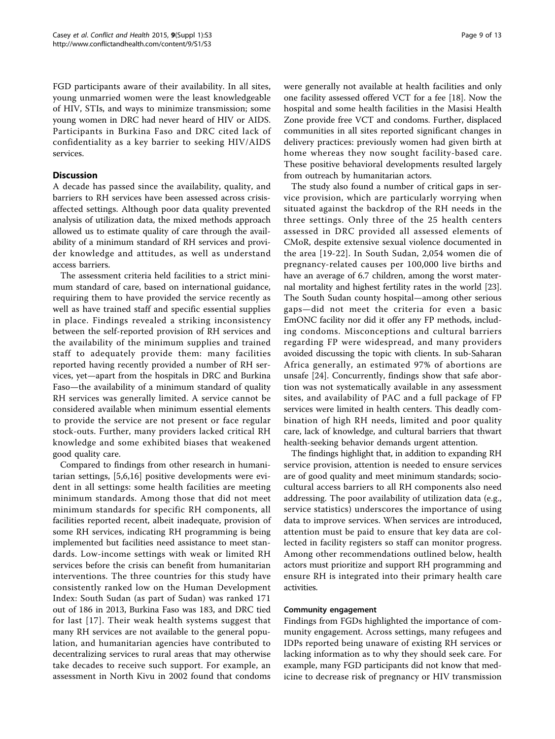FGD participants aware of their availability. In all sites, young unmarried women were the least knowledgeable of HIV, STIs, and ways to minimize transmission; some young women in DRC had never heard of HIV or AIDS. Participants in Burkina Faso and DRC cited lack of confidentiality as a key barrier to seeking HIV/AIDS services.

# **Discussion**

A decade has passed since the availability, quality, and barriers to RH services have been assessed across crisisaffected settings. Although poor data quality prevented analysis of utilization data, the mixed methods approach allowed us to estimate quality of care through the availability of a minimum standard of RH services and provider knowledge and attitudes, as well as understand access barriers.

The assessment criteria held facilities to a strict minimum standard of care, based on international guidance, requiring them to have provided the service recently as well as have trained staff and specific essential supplies in place. Findings revealed a striking inconsistency between the self-reported provision of RH services and the availability of the minimum supplies and trained staff to adequately provide them: many facilities reported having recently provided a number of RH services, yet—apart from the hospitals in DRC and Burkina Faso—the availability of a minimum standard of quality RH services was generally limited. A service cannot be considered available when minimum essential elements to provide the service are not present or face regular stock-outs. Further, many providers lacked critical RH knowledge and some exhibited biases that weakened good quality care.

Compared to findings from other research in humanitarian settings, [[5,6,16](#page-11-0)] positive developments were evident in all settings: some health facilities are meeting minimum standards. Among those that did not meet minimum standards for specific RH components, all facilities reported recent, albeit inadequate, provision of some RH services, indicating RH programming is being implemented but facilities need assistance to meet standards. Low-income settings with weak or limited RH services before the crisis can benefit from humanitarian interventions. The three countries for this study have consistently ranked low on the Human Development Index: South Sudan (as part of Sudan) was ranked 171 out of 186 in 2013, Burkina Faso was 183, and DRC tied for last [[17](#page-11-0)]. Their weak health systems suggest that many RH services are not available to the general population, and humanitarian agencies have contributed to decentralizing services to rural areas that may otherwise take decades to receive such support. For example, an assessment in North Kivu in 2002 found that condoms were generally not available at health facilities and only one facility assessed offered VCT for a fee [[18\]](#page-11-0). Now the hospital and some health facilities in the Masisi Health Zone provide free VCT and condoms. Further, displaced communities in all sites reported significant changes in delivery practices: previously women had given birth at home whereas they now sought facility-based care. These positive behavioral developments resulted largely from outreach by humanitarian actors.

The study also found a number of critical gaps in service provision, which are particularly worrying when situated against the backdrop of the RH needs in the three settings. Only three of the 25 health centers assessed in DRC provided all assessed elements of CMoR, despite extensive sexual violence documented in the area [\[19-22\]](#page-11-0). In South Sudan, 2,054 women die of pregnancy-related causes per 100,000 live births and have an average of 6.7 children, among the worst maternal mortality and highest fertility rates in the world [[23](#page-11-0)]. The South Sudan county hospital—among other serious gaps—did not meet the criteria for even a basic EmONC facility nor did it offer any FP methods, including condoms. Misconceptions and cultural barriers regarding FP were widespread, and many providers avoided discussing the topic with clients. In sub-Saharan Africa generally, an estimated 97% of abortions are unsafe [[24\]](#page-11-0). Concurrently, findings show that safe abortion was not systematically available in any assessment sites, and availability of PAC and a full package of FP services were limited in health centers. This deadly combination of high RH needs, limited and poor quality care, lack of knowledge, and cultural barriers that thwart health-seeking behavior demands urgent attention.

The findings highlight that, in addition to expanding RH service provision, attention is needed to ensure services are of good quality and meet minimum standards; sociocultural access barriers to all RH components also need addressing. The poor availability of utilization data (e.g., service statistics) underscores the importance of using data to improve services. When services are introduced, attention must be paid to ensure that key data are collected in facility registers so staff can monitor progress. Among other recommendations outlined below, health actors must prioritize and support RH programming and ensure RH is integrated into their primary health care activities.

#### Community engagement

Findings from FGDs highlighted the importance of community engagement. Across settings, many refugees and IDPs reported being unaware of existing RH services or lacking information as to why they should seek care. For example, many FGD participants did not know that medicine to decrease risk of pregnancy or HIV transmission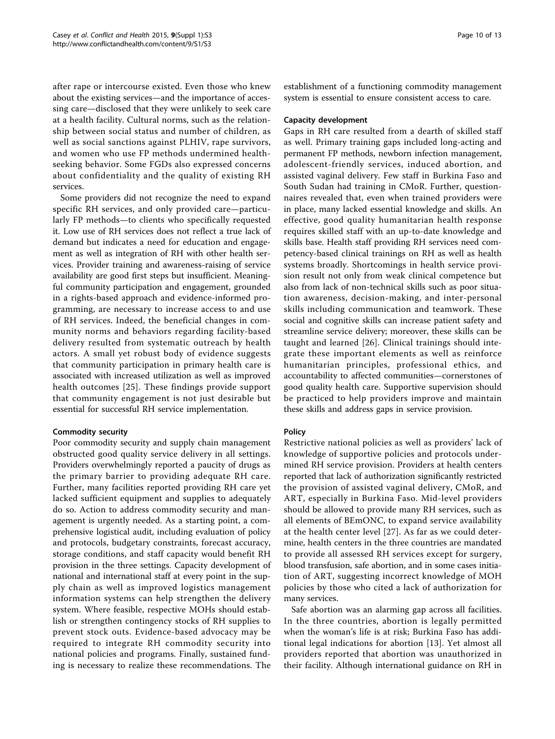after rape or intercourse existed. Even those who knew about the existing services—and the importance of accessing care—disclosed that they were unlikely to seek care at a health facility. Cultural norms, such as the relationship between social status and number of children, as well as social sanctions against PLHIV, rape survivors, and women who use FP methods undermined healthseeking behavior. Some FGDs also expressed concerns about confidentiality and the quality of existing RH services.

Some providers did not recognize the need to expand specific RH services, and only provided care—particularly FP methods—to clients who specifically requested it. Low use of RH services does not reflect a true lack of demand but indicates a need for education and engagement as well as integration of RH with other health services. Provider training and awareness-raising of service availability are good first steps but insufficient. Meaningful community participation and engagement, grounded in a rights-based approach and evidence-informed programming, are necessary to increase access to and use of RH services. Indeed, the beneficial changes in community norms and behaviors regarding facility-based delivery resulted from systematic outreach by health actors. A small yet robust body of evidence suggests that community participation in primary health care is associated with increased utilization as well as improved health outcomes [[25](#page-11-0)]. These findings provide support that community engagement is not just desirable but essential for successful RH service implementation.

# Commodity security

Poor commodity security and supply chain management obstructed good quality service delivery in all settings. Providers overwhelmingly reported a paucity of drugs as the primary barrier to providing adequate RH care. Further, many facilities reported providing RH care yet lacked sufficient equipment and supplies to adequately do so. Action to address commodity security and management is urgently needed. As a starting point, a comprehensive logistical audit, including evaluation of policy and protocols, budgetary constraints, forecast accuracy, storage conditions, and staff capacity would benefit RH provision in the three settings. Capacity development of national and international staff at every point in the supply chain as well as improved logistics management information systems can help strengthen the delivery system. Where feasible, respective MOHs should establish or strengthen contingency stocks of RH supplies to prevent stock outs. Evidence-based advocacy may be required to integrate RH commodity security into national policies and programs. Finally, sustained funding is necessary to realize these recommendations. The establishment of a functioning commodity management system is essential to ensure consistent access to care.

#### Capacity development

Gaps in RH care resulted from a dearth of skilled staff as well. Primary training gaps included long-acting and permanent FP methods, newborn infection management, adolescent-friendly services, induced abortion, and assisted vaginal delivery. Few staff in Burkina Faso and South Sudan had training in CMoR. Further, questionnaires revealed that, even when trained providers were in place, many lacked essential knowledge and skills. An effective, good quality humanitarian health response requires skilled staff with an up-to-date knowledge and skills base. Health staff providing RH services need competency-based clinical trainings on RH as well as health systems broadly. Shortcomings in health service provision result not only from weak clinical competence but also from lack of non-technical skills such as poor situation awareness, decision-making, and inter-personal skills including communication and teamwork. These social and cognitive skills can increase patient safety and streamline service delivery; moreover, these skills can be taught and learned [[26](#page-11-0)]. Clinical trainings should integrate these important elements as well as reinforce humanitarian principles, professional ethics, and accountability to affected communities—cornerstones of good quality health care. Supportive supervision should be practiced to help providers improve and maintain these skills and address gaps in service provision.

#### Policy

Restrictive national policies as well as providers' lack of knowledge of supportive policies and protocols undermined RH service provision. Providers at health centers reported that lack of authorization significantly restricted the provision of assisted vaginal delivery, CMoR, and ART, especially in Burkina Faso. Mid-level providers should be allowed to provide many RH services, such as all elements of BEmONC, to expand service availability at the health center level [[27\]](#page-11-0). As far as we could determine, health centers in the three countries are mandated to provide all assessed RH services except for surgery, blood transfusion, safe abortion, and in some cases initiation of ART, suggesting incorrect knowledge of MOH policies by those who cited a lack of authorization for many services.

Safe abortion was an alarming gap across all facilities. In the three countries, abortion is legally permitted when the woman's life is at risk; Burkina Faso has additional legal indications for abortion [[13](#page-11-0)]. Yet almost all providers reported that abortion was unauthorized in their facility. Although international guidance on RH in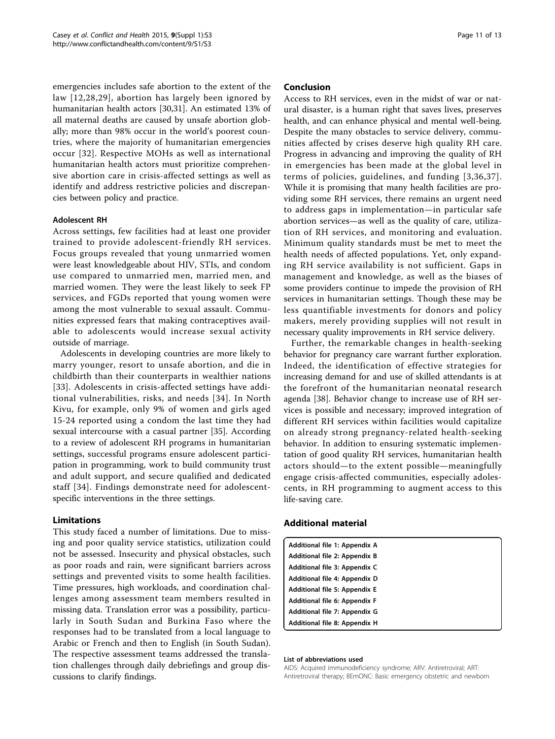<span id="page-10-0"></span>emergencies includes safe abortion to the extent of the law [[12,28,29\]](#page-11-0), abortion has largely been ignored by humanitarian health actors [\[30,31\]](#page-11-0). An estimated 13% of all maternal deaths are caused by unsafe abortion globally; more than 98% occur in the world's poorest countries, where the majority of humanitarian emergencies occur [[32](#page-11-0)]. Respective MOHs as well as international humanitarian health actors must prioritize comprehensive abortion care in crisis-affected settings as well as identify and address restrictive policies and discrepancies between policy and practice.

#### Adolescent RH

Across settings, few facilities had at least one provider trained to provide adolescent-friendly RH services. Focus groups revealed that young unmarried women were least knowledgeable about HIV, STIs, and condom use compared to unmarried men, married men, and married women. They were the least likely to seek FP services, and FGDs reported that young women were among the most vulnerable to sexual assault. Communities expressed fears that making contraceptives available to adolescents would increase sexual activity outside of marriage.

Adolescents in developing countries are more likely to marry younger, resort to unsafe abortion, and die in childbirth than their counterparts in wealthier nations [[33](#page-11-0)]. Adolescents in crisis-affected settings have additional vulnerabilities, risks, and needs [\[34](#page-11-0)]. In North Kivu, for example, only 9% of women and girls aged 15-24 reported using a condom the last time they had sexual intercourse with a casual partner [\[35](#page-12-0)]. According to a review of adolescent RH programs in humanitarian settings, successful programs ensure adolescent participation in programming, work to build community trust and adult support, and secure qualified and dedicated staff [[34\]](#page-11-0). Findings demonstrate need for adolescentspecific interventions in the three settings.

# Limitations

This study faced a number of limitations. Due to missing and poor quality service statistics, utilization could not be assessed. Insecurity and physical obstacles, such as poor roads and rain, were significant barriers across settings and prevented visits to some health facilities. Time pressures, high workloads, and coordination challenges among assessment team members resulted in missing data. Translation error was a possibility, particularly in South Sudan and Burkina Faso where the responses had to be translated from a local language to Arabic or French and then to English (in South Sudan). The respective assessment teams addressed the translation challenges through daily debriefings and group discussions to clarify findings.

#### Conclusion

Access to RH services, even in the midst of war or natural disaster, is a human right that saves lives, preserves health, and can enhance physical and mental well-being. Despite the many obstacles to service delivery, communities affected by crises deserve high quality RH care. Progress in advancing and improving the quality of RH in emergencies has been made at the global level in terms of policies, guidelines, and funding [[3](#page-11-0),[36,37\]](#page-12-0). While it is promising that many health facilities are providing some RH services, there remains an urgent need to address gaps in implementation—in particular safe abortion services—as well as the quality of care, utilization of RH services, and monitoring and evaluation. Minimum quality standards must be met to meet the health needs of affected populations. Yet, only expanding RH service availability is not sufficient. Gaps in management and knowledge, as well as the biases of some providers continue to impede the provision of RH services in humanitarian settings. Though these may be less quantifiable investments for donors and policy makers, merely providing supplies will not result in necessary quality improvements in RH service delivery.

Further, the remarkable changes in health-seeking behavior for pregnancy care warrant further exploration. Indeed, the identification of effective strategies for increasing demand for and use of skilled attendants is at the forefront of the humanitarian neonatal research agenda [[38\]](#page-12-0). Behavior change to increase use of RH services is possible and necessary; improved integration of different RH services within facilities would capitalize on already strong pregnancy-related health-seeking behavior. In addition to ensuring systematic implementation of good quality RH services, humanitarian health actors should—to the extent possible—meaningfully engage crisis-affected communities, especially adolescents, in RH programming to augment access to this life-saving care.

# Additional material

| Additional file 1: Appendix A |  |
|-------------------------------|--|
| Additional file 2: Appendix B |  |
| Additional file 3: Appendix C |  |
| Additional file 4: Appendix D |  |
| Additional file 5: Appendix E |  |
| Additional file 6: Appendix F |  |
| Additional file 7: Appendix G |  |
| Additional file 8: Appendix H |  |

#### List of abbreviations used

AIDS: Acquired immunodeficiency syndrome; ARV: Antiretroviral; ART: Antiretroviral therapy; BEmONC: Basic emergency obstetric and newborn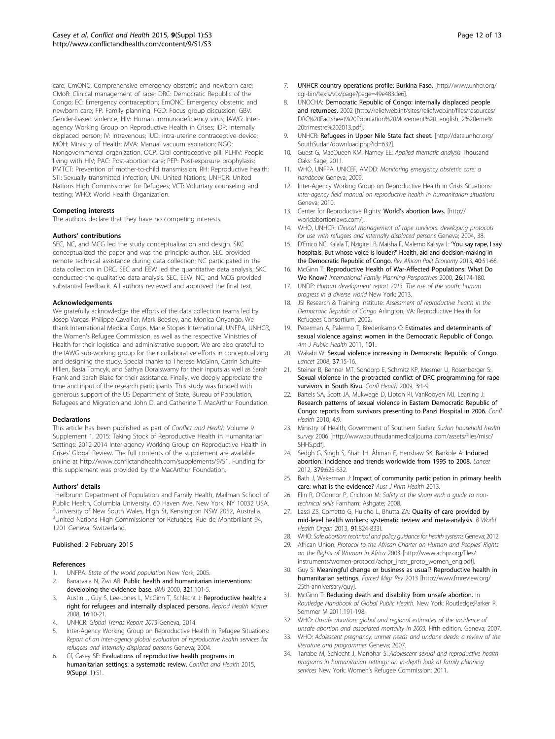<span id="page-11-0"></span>care; CmONC: Comprehensive emergency obstetric and newborn care; CMoR: Clinical management of rape; DRC: Democratic Republic of the Congo; EC: Emergency contraception; EmONC: Emergency obstetric and newborn care; FP: Family planning; FGD: Focus group discussion; GBV: Gender-based violence; HIV: Human immunodeficiency virus; IAWG: Interagency Working Group on Reproductive Health in Crises; IDP: Internally displaced person; IV: Intravenous; IUD: Intra-uterine contraceptive device; MOH: Ministry of Health; MVA: Manual vacuum aspiration; NGO: Nongovernmental organization; OCP: Oral contraceptive pill; PLHIV: People living with HIV; PAC: Post-abortion care; PEP: Post-exposure prophylaxis; PMTCT: Prevention of mother-to-child transmission; RH: Reproductive health; STI: Sexually transmitted infection; UN: United Nations; UNHCR: United Nations High Commissioner for Refugees; VCT: Voluntary counseling and testing; WHO: World Health Organization.

#### Competing interests

The authors declare that they have no competing interests.

#### Authors' contributions

SEC, NC, and MCG led the study conceptualization and design. SKC conceptualized the paper and was the principle author. SEC provided remote technical assistance during data collection; NC participated in the data collection in DRC. SEC and EEW led the quantitative data analysis; SKC conducted the qualitative data analysis. SEC, EEW, NC, and MCG provided substantial feedback. All authors reviewed and approved the final text.

#### Acknowledgements

We gratefully acknowledge the efforts of the data collection teams led by Josep Vargas, Philippe Cavailler, Mark Beesley, and Monica Onyango. We thank International Medical Corps, Marie Stopes International, UNFPA, UNHCR, the Women's Refugee Commission, as well as the respective Ministries of Health for their logistical and administrative support. We are also grateful to the IAWG sub-working group for their collaborative efforts in conceptualizing and designing the study. Special thanks to Therese McGinn, Catrin Schulte-Hillen, Basia Tomcyk, and Sathya Doraiswamy for their inputs as well as Sarah Frank and Sarah Blake for their assistance. Finally, we deeply appreciate the time and input of the research participants. This study was funded with generous support of the US Department of State, Bureau of Population, Refugees and Migration and John D. and Catherine T. MacArthur Foundation.

#### **Declarations**

This article has been published as part of Conflict and Health Volume 9 Supplement 1, 2015: Taking Stock of Reproductive Health in Humanitarian Settings: 2012-2014 Inter-agency Working Group on Reproductive Health in Crises' Global Review. The full contents of the supplement are available online at<http://www.conflictandhealth.com/supplements/9/S1>. Funding for this supplement was provided by the MacArthur Foundation.

#### Authors' details <sup>1</sup>

<sup>1</sup>Heilbrunn Department of Population and Family Health, Mailman School of Public Health, Columbia University, 60 Haven Ave, New York, NY 10032 USA. <sup>2</sup>University of New South Wales, High St, Kensington NSW 2052, Australia. <sup>3</sup>United Nations High Commissioner for Refugees, Rue de Montbrillant 94, 1201 Geneva, Switzerland.

#### Published: 2 February 2015

#### References

- 1. UNFPA: State of the world population New York; 2005.
- 2. Banatvala N, Zwi AB: [Public health and humanitarian interventions:](http://www.ncbi.nlm.nih.gov/pubmed/10884265?dopt=Abstract) [developing the evidence base.](http://www.ncbi.nlm.nih.gov/pubmed/10884265?dopt=Abstract) BMJ 2000, 321:101-5.
- 3. Austin J, Guy S, Lee-Jones L, McGinn T, Schlecht J: [Reproductive health: a](http://www.ncbi.nlm.nih.gov/pubmed/18513603?dopt=Abstract) [right for refugees and internally displaced persons.](http://www.ncbi.nlm.nih.gov/pubmed/18513603?dopt=Abstract) Reprod Health Matter 2008, 16:10-21.
- 4. UNHCR: Global Trends Report 2013 Geneva; 2014.
- 5. Inter-Agency Working Group on Reproductive Health in Refugee Situations: Report of an inter-agency global evaluation of reproductive health services for refugees and internally displaced persons Geneva; 2004.
- 6. Cf, Casey SE: Evaluations of reproductive health programs in humanitarian settings: a systematic review. Conflict and Health 2015, 9(Suppl 1):S1.
- 7. UNHCR country operations profile: Burkina Faso. [\[http://www.unhcr.org/](http://www.unhcr.org/cgi-bin/texis/vtx/page?page=49e483de6) [cgi-bin/texis/vtx/page?page=49e483de6\]](http://www.unhcr.org/cgi-bin/texis/vtx/page?page=49e483de6).
- UNOCHA: Democratic Republic of Congo: internally displaced people and returnees. 2002 [[http://reliefweb.int/sites/reliefweb.int/files/resources/](http://reliefweb.int/sites/reliefweb.int/files/resources/DRC%20Factsheet%20Population%20Movement%20_english_2%20eme%20trimestre%202013.pdf) [DRC%20Factsheet%20Population%20Movement%20\\_english\\_2%20eme%](http://reliefweb.int/sites/reliefweb.int/files/resources/DRC%20Factsheet%20Population%20Movement%20_english_2%20eme%20trimestre%202013.pdf) [20trimestre%202013.pdf\]](http://reliefweb.int/sites/reliefweb.int/files/resources/DRC%20Factsheet%20Population%20Movement%20_english_2%20eme%20trimestre%202013.pdf).
- 9. UNHCR: Refugees in Upper Nile State fact sheet. [\[http://data.unhcr.org/](http://data.unhcr.org/SouthSudan/download.php?id=632) [SouthSudan/download.php?id=632](http://data.unhcr.org/SouthSudan/download.php?id=632)].
- 10. Guest G, MacQueen KM, Namey EE: Applied thematic analysis Thousand Oaks: Sage: 2011.
- 11. WHO, UNFPA, UNICEF, AMDD: Monitoring emergency obstetric care: a handbook Geneva; 2009.
- 12. Inter-Agency Working Group on Reproductive Health in Crisis Situations: Inter-agency field manual on reproductive health in humanitarian situations Geneva; 2010.
- 13. Center for Reproductive Rights: World's abortion laws. [\[http://](http://worldabortionlaws.com/) [worldabortionlaws.com/\]](http://worldabortionlaws.com/).
- 14. WHO, UNHCR: Clinical management of rape survivors: developing protocols for use with refugees and internally displaced persons Geneva; 2004, 38.
- 15. D'Errico NC, Kalala T, Nzigire LB, Maisha F, Malemo Kalisya L: 'You say rape, I say hospitals. But whose voice is louder?' Health, aid and decision-making in the Democratic Republic of Congo. Rev African Polit Economy 2013, 40:51-66.
- 16. McGinn T: Reproductive Health of War-Affected Populations: What Do We Know? International Family Planning Perspectives 2000, 26:174-180.
- 17. UNDP: Human development report 2013. The rise of the south: human progress in a diverse world New York; 2013.
- 18. JSI Research & Training Institute: Assessment of reproductive health in the Democratic Republic of Congo Arlington, VA: Reproductive Health for Refugees Consortium; 2002.
- 19. Peterman A, Palermo T, Bredenkamp C: [Estimates and determinants of](http://www.ncbi.nlm.nih.gov/pubmed/21566049?dopt=Abstract) [sexual violence against women in the Democratic Republic of Congo.](http://www.ncbi.nlm.nih.gov/pubmed/21566049?dopt=Abstract) Am J Public Health 2011, 101.
- 20. Wakabi W: [Sexual violence increasing in Democratic Republic of Congo.](http://www.ncbi.nlm.nih.gov/pubmed/18183654?dopt=Abstract) Lancet 2008, 37:15-16.
- 21. Steiner B, Benner MT, Sondorp E, Schmitz KP, Mesmer U, Rosenberger S: [Sexual violence in the protracted conflict of DRC programming for rape](http://www.ncbi.nlm.nih.gov/pubmed/19284879?dopt=Abstract) [survivors in South Kivu.](http://www.ncbi.nlm.nih.gov/pubmed/19284879?dopt=Abstract) Confl Health 2009, 3:1-9.
- 22. Bartels SA, Scott JA, Mukwege D, Lipton RI, VanRooyen MJ, Leaning J: [Research patterns of sexual violence in Eastern Democratic Republic of](http://www.ncbi.nlm.nih.gov/pubmed/20444265?dopt=Abstract) [Congo: reports from survivors presenting to Panzi Hospital in 2006.](http://www.ncbi.nlm.nih.gov/pubmed/20444265?dopt=Abstract) Confl Health 2010, 4:9.
- 23. Ministry of Health, Government of Southern Sudan: Sudan household health survey 2006 [[http://www.southsudanmedicaljournal.com/assets/files/misc/](http://www.southsudanmedicaljournal.com/assets/files/misc/SHHS.pdf) [SHHS.pdf\]](http://www.southsudanmedicaljournal.com/assets/files/misc/SHHS.pdf).
- 24. Sedgh G, Singh S, Shah IH, Åhman E, Henshaw SK, Bankole A: [Induced](http://www.ncbi.nlm.nih.gov/pubmed/22264435?dopt=Abstract) [abortion: incidence and trends worldwide from 1995 to 2008.](http://www.ncbi.nlm.nih.gov/pubmed/22264435?dopt=Abstract) Lancet 2012, 379:625-632.
- 25. Bath J, Wakerman J: [Impact of community participation in primary health](http://www.ncbi.nlm.nih.gov/pubmed/24176202?dopt=Abstract) [care: what is the evidence?](http://www.ncbi.nlm.nih.gov/pubmed/24176202?dopt=Abstract) Aust J Prim Health 2013.
- 26. Flin R, O'Connor P, Crichton M: Safety at the sharp end: a quide to nontechnical skills Farnham: Ashgate; 2008.
- 27. Lassi ZS, Cometto G, Huicho L, Bhutta ZA: [Quality of care provided by](http://www.ncbi.nlm.nih.gov/pubmed/24347706?dopt=Abstract) [mid-level health workers: systematic review and meta-analysis.](http://www.ncbi.nlm.nih.gov/pubmed/24347706?dopt=Abstract) B World Health Organ 2013, 91:824-833I.
- 28. WHO: Safe abortion: technical and policy guidance for health systems Geneva; 2012. 29. African Union: Protocol to the African Charter on Human and Peoples' Rights
- on the Rights of Woman in Africa 2003 [\[http://www.achpr.org/files/](http://www.achpr.org/files/instruments/women-protocol/achpr_instr_proto_women_eng.pdf) [instruments/women-protocol/achpr\\_instr\\_proto\\_women\\_eng.pdf](http://www.achpr.org/files/instruments/women-protocol/achpr_instr_proto_women_eng.pdf)].
- 30. Guy S: Meaningful change or business as usual? Reproductive health in humanitarian settings. Forced Migr Rev 2013 [\[http://www.fmreview.org/](http://www.fmreview.org/25th-anniversary/guy) [25th-anniversary/guy](http://www.fmreview.org/25th-anniversary/guy)].
- 31. McGinn T: Reducing death and disability from unsafe abortion. In Routledge Handbook of Global Public Health. New York: Routledge;Parker R, Sommer M 2011:191-198.
- 32. WHO: Unsafe abortion: global and regional estimates of the incidence of unsafe abortion and associated mortality in 2003. Fifth edition. Geneva; 2007.
- 33. WHO: Adolescent pregnancy: unmet needs and undone deeds: a review of the literature and programmes Geneva; 2007.
- 34. Tanabe M, Schlecht J, Manohar S: Adolescent sexual and reproductive health programs in humanitarian settings: an in-depth look at family planning services New York: Women's Refugee Commission; 2011.